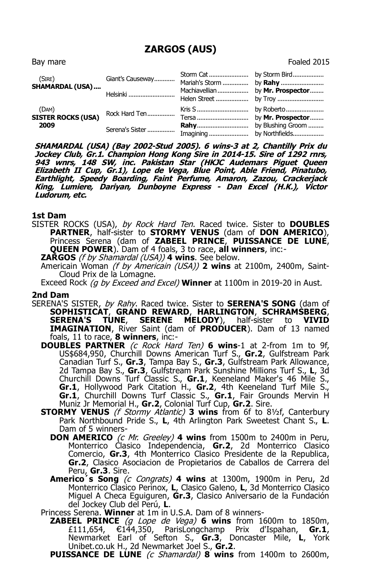## **ZARGOS (AUS)**

Bay mare Foaled 2015 (SIRE) **SHAMARDAL (USA)....** Giant's Causeway............ Storm Cat....................... by Storm Bird.................. Mariah's Storm ............... by **Rahy** ......................... Helsinki ........................... Machiavellian.................. by **Mr. Prospector**........ Helen Street ................... by Troy ........................... (DAM) **SISTER ROCKS (USA) 2009** Rock Hard Ten................ Kris S.............................. by Roberto...................... Tersa .............................. by **Mr. Prospector**........ Serena's Sister ................ **Rahy**.............................. by Blushing Groom ......... Imagining....................... by Northfields..................

**SHAMARDAL (USA) (Bay 2002-Stud 2005). 6 wins-3 at 2, Chantilly Prix du Jockey Club, Gr.1. Champion Hong Kong Sire in 2014-15. Sire of 1292 rnrs, 943 wnrs, 148 SW, inc. Pakistan Star (HKJC Audemars Piguet Queen Elizabeth II Cup, Gr.1), Lope de Vega, Blue Point, Able Friend, Pinatubo, Earthlight, Speedy Boarding, Faint Perfume, Amaron, Zazou, Crackerjack King, Lumiere, Dariyan, Dunboyne Express - Dan Excel (H.K.), Victor Ludorum, etc.**

## **1st Dam**

SISTER ROCKS (USA), by Rock Hard Ten. Raced twice. Sister to **DOUBLES PARTNER**, half-sister to **STORMY VENUS** (dam of **DON AMERICO**), Princess Serena (dam of **ZABEEL PRINCE**, **PUISSANCE DE LUNE**, **QUEEN POWER**). Dam of 4 foals, 3 to race, **all winners**, inc:-

**ZARGOS** (f by Shamardal (USA)) **4 wins**. See below.

Americain Woman (f by Americain (USA)) **2 wins** at 2100m, 2400m, Saint-Cloud Prix de la Lomagne.

Exceed Rock (g by Exceed and Excel) **Winner** at 1100m in 2019-20 in Aust.

## **2nd Dam**

- SERENA'S SISTER, by Rahy. Raced twice. Sister to **SERENA'S SONG** (dam of **SOPHISTICAT**, **GRAND REWARD**, **HARLINGTON**, **SCHRAMSBERG**, **SERENA'S TUNE**, **SERENE MELODY**), half-sister to **VIVID IMAGINATION**, River Saint (dam of **PRODUCER**). Dam of 13 named foals, 11 to race, **8 winners**, inc:-
	- **DOUBLES PARTNER** (c Rock Hard Ten) **6 wins**-1 at 2-from 1m to 9f, US\$684,950, Churchill Downs American Turf S., **Gr.2**, Gulfstream Park Canadian Turf S., **Gr.3**, Tampa Bay S., **Gr.3**, Gulfstream Park Allowance, 2d Tampa Bay S., **Gr.3**, Gulfstream Park Sunshine Millions Turf S., **L**, 3d Churchill Downs Turf Classic S., **Gr.1**, Keeneland Maker's 46 Mile S., **Gr.1**, Hollywood Park Citation H., **Gr.2**, 4th Keeneland Turf Mile S., **Gr.1**, Churchill Downs Turf Classic S., **Gr.1**, Fair Grounds Mervin H Muniz Jr Memorial H., **Gr.2**, Colonial Turf Cup, **Gr.2**. Sire.
	- **STORMY VENUS** (f Stormy Atlantic) **3 wins** from 6f to 8½f, Canterbury Park Northbound Pride S., **L**, 4th Arlington Park Sweetest Chant S., **L**. Dam of 5 winners-
		- **DON AMERICO** (c Mr. Greeley) **4 wins** from 1500m to 2400m in Peru, Monterrico Clasico Independencia, **Gr.2**, 2d Monterrico Clasico Comercio, **Gr.3**, 4th Monterrico Clasico Presidente de la Republica, **Gr.2**, Clasico Asociacion de Propietarios de Caballos de Carrera del Peru, **Gr.3**. Sire.
		- **Americo´s Song** (c Congrats) **4 wins** at 1300m, 1900m in Peru, 2d Monterrico Clasico Perinox, **L**, Clasico Galeno, **L**, 3d Monterrico Clasico Miguel A Checa Eguiguren, **Gr.3**, Clasico Aniversario de la Fundación del Jockey Club del Perú, **L**.

Princess Serena. **Winner** at 1m in U.S.A. Dam of 8 winners-

**ZABEEL PRINCE** (g Lope de Vega) **6 wins** from 1600m to 1850m, £111,654, €144,350, ParisLongchamp Prix d'Ispahan, **Gr.1**, Newmarket Earl of Sefton S., **Gr.3**, Doncaster Mile, **L**, York Unibet.co.uk H., 2d Newmarket Joel S., **Gr.2**.

**PUISSANCE DE LUNE** (c Shamardal) **8 wins** from 1400m to 2600m,